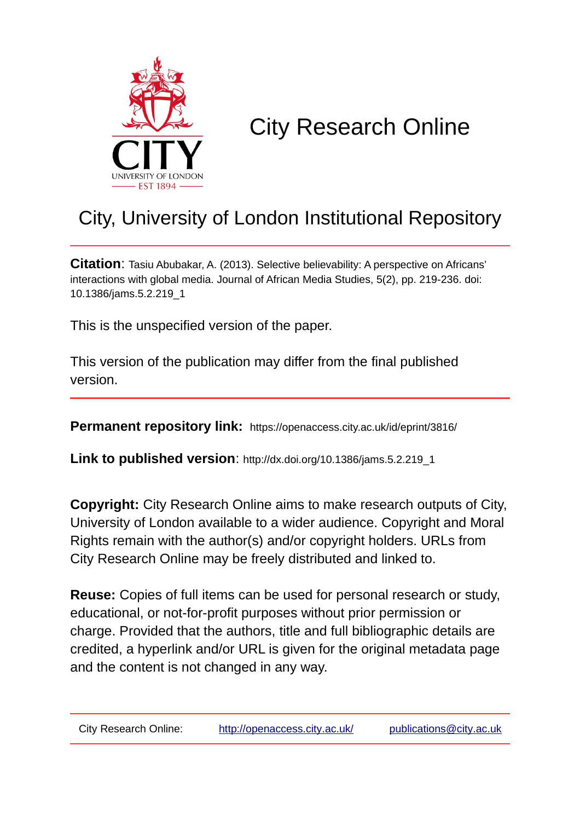

# City Research Online

## City, University of London Institutional Repository

**Citation**: Tasiu Abubakar, A. (2013). Selective believability: A perspective on Africans' interactions with global media. Journal of African Media Studies, 5(2), pp. 219-236. doi: 10.1386/jams.5.2.219\_1

This is the unspecified version of the paper.

This version of the publication may differ from the final published version.

**Permanent repository link:** https://openaccess.city.ac.uk/id/eprint/3816/

**Link to published version**: http://dx.doi.org/10.1386/jams.5.2.219\_1

**Copyright:** City Research Online aims to make research outputs of City, University of London available to a wider audience. Copyright and Moral Rights remain with the author(s) and/or copyright holders. URLs from City Research Online may be freely distributed and linked to.

**Reuse:** Copies of full items can be used for personal research or study, educational, or not-for-profit purposes without prior permission or charge. Provided that the authors, title and full bibliographic details are credited, a hyperlink and/or URL is given for the original metadata page and the content is not changed in any way.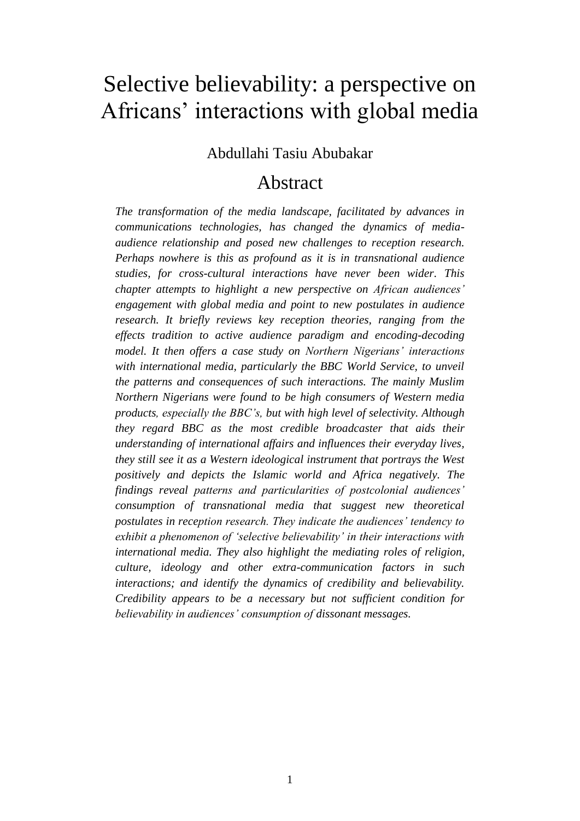## Selective believability: a perspective on Africans' interactions with global media

## Abdullahi Tasiu Abubakar

## Abstract

*The transformation of the media landscape, facilitated by advances in communications technologies, has changed the dynamics of mediaaudience relationship and posed new challenges to reception research. Perhaps nowhere is this as profound as it is in transnational audience studies, for cross-cultural interactions have never been wider. This chapter attempts to highlight a new perspective on African audiences' engagement with global media and point to new postulates in audience research. It briefly reviews key reception theories, ranging from the effects tradition to active audience paradigm and encoding-decoding model. It then offers a case study on Northern Nigerians' interactions*  with international media, particularly the BBC World Service, to unveil *the patterns and consequences of such interactions. The mainly Muslim Northern Nigerians were found to be high consumers of Western media products, especially the BBC's, but with high level of selectivity. Although they regard BBC as the most credible broadcaster that aids their understanding of international affairs and influences their everyday lives, they still see it as a Western ideological instrument that portrays the West positively and depicts the Islamic world and Africa negatively. The findings reveal patterns and particularities of postcolonial audiences' consumption of transnational media that suggest new theoretical postulates in reception research. They indicate the audiences' tendency to exhibit a phenomenon of 'selective believability' in their interactions with international media. They also highlight the mediating roles of religion, culture, ideology and other extra-communication factors in such interactions; and identify the dynamics of credibility and believability. Credibility appears to be a necessary but not sufficient condition for believability in audiences' consumption of dissonant messages.*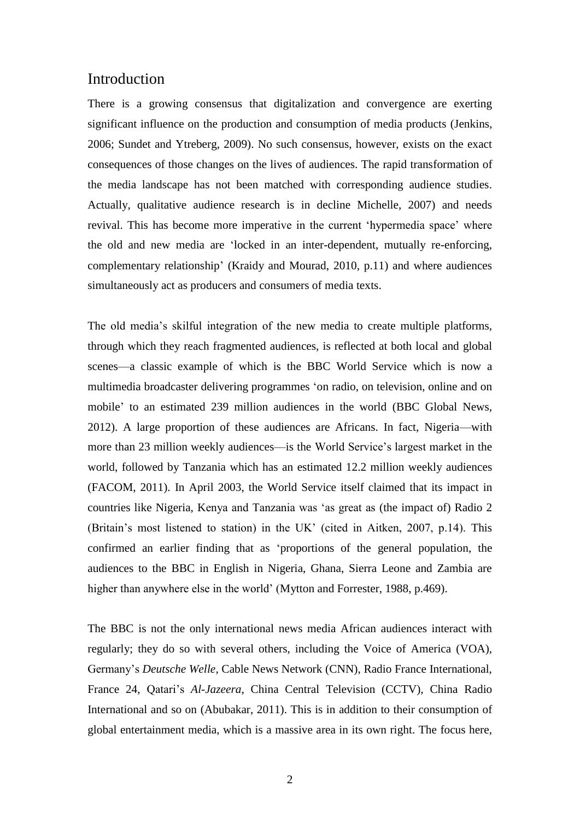#### Introduction

There is a growing consensus that digitalization and convergence are exerting significant influence on the production and consumption of media products (Jenkins, 2006; Sundet and Ytreberg, 2009). No such consensus, however, exists on the exact consequences of those changes on the lives of audiences. The rapid transformation of the media landscape has not been matched with corresponding audience studies. Actually, qualitative audience research is in decline Michelle, 2007) and needs revival. This has become more imperative in the current 'hypermedia space' where the old and new media are 'locked in an inter-dependent, mutually re-enforcing, complementary relationship' (Kraidy and Mourad, 2010, p.11) and where audiences simultaneously act as producers and consumers of media texts.

The old media's skilful integration of the new media to create multiple platforms, through which they reach fragmented audiences, is reflected at both local and global scenes—a classic example of which is the BBC World Service which is now a multimedia broadcaster delivering programmes 'on radio, on television, online and on mobile' to an estimated 239 million audiences in the world (BBC Global News, 2012). A large proportion of these audiences are Africans. In fact, Nigeria—with more than 23 million weekly audiences—is the World Service's largest market in the world, followed by Tanzania which has an estimated 12.2 million weekly audiences (FACOM, 2011). In April 2003, the World Service itself claimed that its impact in countries like Nigeria, Kenya and Tanzania was 'as great as (the impact of) Radio 2 (Britain's most listened to station) in the UK' (cited in Aitken, 2007, p.14). This confirmed an earlier finding that as 'proportions of the general population, the audiences to the BBC in English in Nigeria, Ghana, Sierra Leone and Zambia are higher than anywhere else in the world' (Mytton and Forrester, 1988, p.469).

The BBC is not the only international news media African audiences interact with regularly; they do so with several others, including the Voice of America (VOA), Germany's *Deutsche Welle*, Cable News Network (CNN), Radio France International, France 24, Qatari's *Al-Jazeera*, China Central Television (CCTV), China Radio International and so on (Abubakar, 2011). This is in addition to their consumption of global entertainment media, which is a massive area in its own right. The focus here,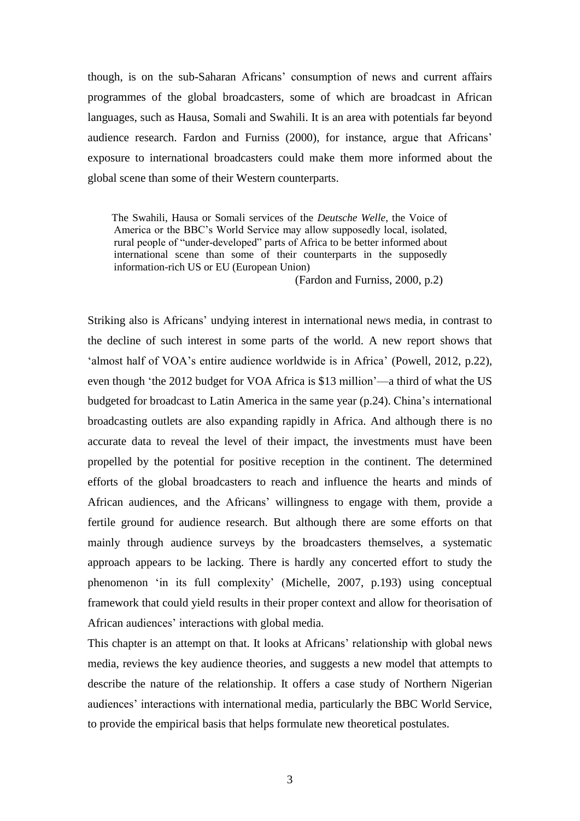though, is on the sub-Saharan Africans' consumption of news and current affairs programmes of the global broadcasters, some of which are broadcast in African languages, such as Hausa, Somali and Swahili. It is an area with potentials far beyond audience research. Fardon and Furniss (2000), for instance, argue that Africans' exposure to international broadcasters could make them more informed about the global scene than some of their Western counterparts.

 The Swahili, Hausa or Somali services of the *Deutsche Welle*, the Voice of America or the BBC's World Service may allow supposedly local, isolated, rural people of "under-developed" parts of Africa to be better informed about international scene than some of their counterparts in the supposedly information-rich US or EU (European Union)

(Fardon and Furniss, 2000, p.2)

Striking also is Africans' undying interest in international news media, in contrast to the decline of such interest in some parts of the world. A new report shows that 'almost half of VOA's entire audience worldwide is in Africa' (Powell, 2012, p.22), even though 'the 2012 budget for VOA Africa is \$13 million'—a third of what the US budgeted for broadcast to Latin America in the same year (p.24). China's international broadcasting outlets are also expanding rapidly in Africa. And although there is no accurate data to reveal the level of their impact, the investments must have been propelled by the potential for positive reception in the continent. The determined efforts of the global broadcasters to reach and influence the hearts and minds of African audiences, and the Africans' willingness to engage with them, provide a fertile ground for audience research. But although there are some efforts on that mainly through audience surveys by the broadcasters themselves, a systematic approach appears to be lacking. There is hardly any concerted effort to study the phenomenon 'in its full complexity' (Michelle, 2007, p.193) using conceptual framework that could yield results in their proper context and allow for theorisation of African audiences' interactions with global media.

This chapter is an attempt on that. It looks at Africans' relationship with global news media, reviews the key audience theories, and suggests a new model that attempts to describe the nature of the relationship. It offers a case study of Northern Nigerian audiences' interactions with international media, particularly the BBC World Service, to provide the empirical basis that helps formulate new theoretical postulates.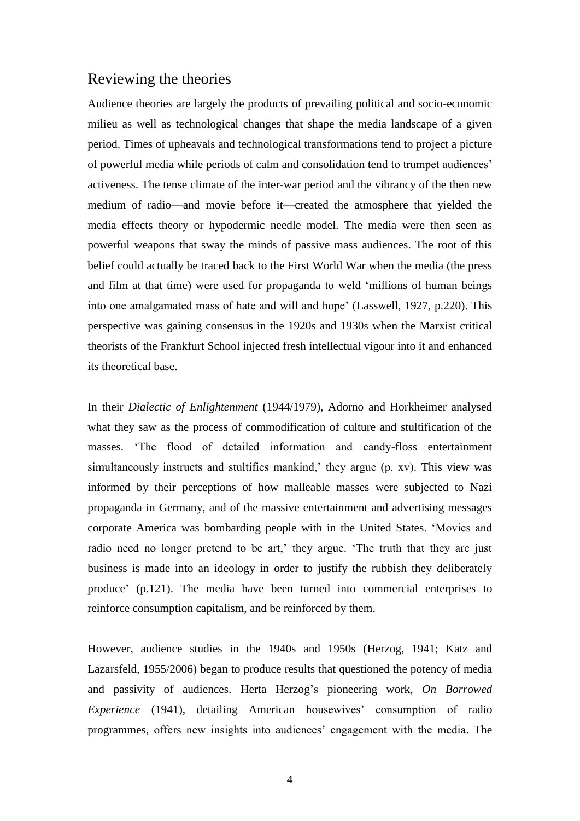#### Reviewing the theories

Audience theories are largely the products of prevailing political and socio-economic milieu as well as technological changes that shape the media landscape of a given period. Times of upheavals and technological transformations tend to project a picture of powerful media while periods of calm and consolidation tend to trumpet audiences' activeness. The tense climate of the inter-war period and the vibrancy of the then new medium of radio—and movie before it—created the atmosphere that yielded the media effects theory or hypodermic needle model. The media were then seen as powerful weapons that sway the minds of passive mass audiences. The root of this belief could actually be traced back to the First World War when the media (the press and film at that time) were used for propaganda to weld 'millions of human beings into one amalgamated mass of hate and will and hope' (Lasswell, 1927, p.220). This perspective was gaining consensus in the 1920s and 1930s when the Marxist critical theorists of the Frankfurt School injected fresh intellectual vigour into it and enhanced its theoretical base.

In their *Dialectic of Enlightenment* (1944/1979), Adorno and Horkheimer analysed what they saw as the process of commodification of culture and stultification of the masses. 'The flood of detailed information and candy-floss entertainment simultaneously instructs and stultifies mankind,' they argue (p. xv). This view was informed by their perceptions of how malleable masses were subjected to Nazi propaganda in Germany, and of the massive entertainment and advertising messages corporate America was bombarding people with in the United States. 'Movies and radio need no longer pretend to be art,' they argue. 'The truth that they are just business is made into an ideology in order to justify the rubbish they deliberately produce' (p.121). The media have been turned into commercial enterprises to reinforce consumption capitalism, and be reinforced by them.

However, audience studies in the 1940s and 1950s (Herzog, 1941; Katz and Lazarsfeld, 1955/2006) began to produce results that questioned the potency of media and passivity of audiences. Herta Herzog's pioneering work, *On Borrowed Experience* (1941), detailing American housewives' consumption of radio programmes, offers new insights into audiences' engagement with the media. The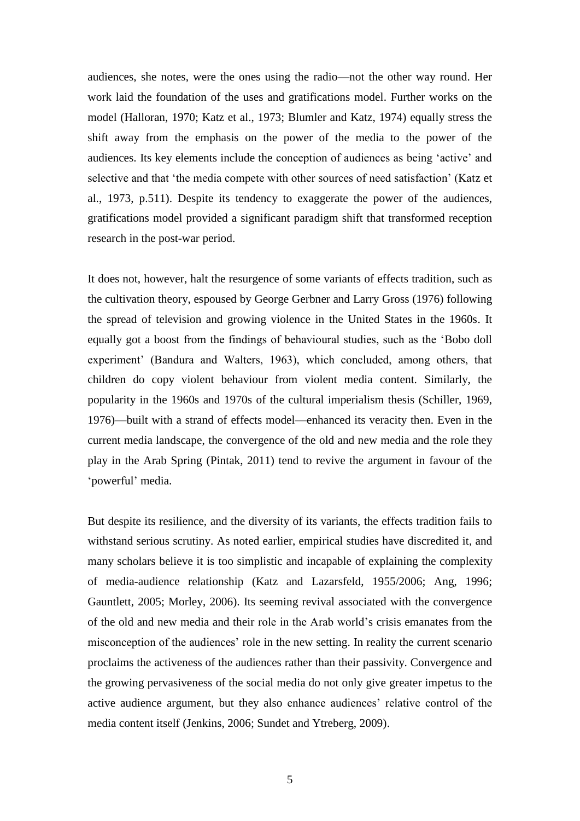audiences, she notes, were the ones using the radio—not the other way round. Her work laid the foundation of the uses and gratifications model. Further works on the model (Halloran, 1970; Katz et al., 1973; Blumler and Katz, 1974) equally stress the shift away from the emphasis on the power of the media to the power of the audiences. Its key elements include the conception of audiences as being 'active' and selective and that 'the media compete with other sources of need satisfaction' (Katz et al., 1973, p.511). Despite its tendency to exaggerate the power of the audiences, gratifications model provided a significant paradigm shift that transformed reception research in the post-war period.

It does not, however, halt the resurgence of some variants of effects tradition, such as the cultivation theory, espoused by George Gerbner and Larry Gross (1976) following the spread of television and growing violence in the United States in the 1960s. It equally got a boost from the findings of behavioural studies, such as the 'Bobo doll experiment' (Bandura and Walters, 1963), which concluded, among others, that children do copy violent behaviour from violent media content. Similarly, the popularity in the 1960s and 1970s of the cultural imperialism thesis (Schiller, 1969, 1976)—built with a strand of effects model—enhanced its veracity then. Even in the current media landscape, the convergence of the old and new media and the role they play in the Arab Spring (Pintak, 2011) tend to revive the argument in favour of the 'powerful' media.

But despite its resilience, and the diversity of its variants, the effects tradition fails to withstand serious scrutiny. As noted earlier, empirical studies have discredited it, and many scholars believe it is too simplistic and incapable of explaining the complexity of media-audience relationship (Katz and Lazarsfeld, 1955/2006; Ang, 1996; Gauntlett, 2005; Morley, 2006). Its seeming revival associated with the convergence of the old and new media and their role in the Arab world's crisis emanates from the misconception of the audiences' role in the new setting. In reality the current scenario proclaims the activeness of the audiences rather than their passivity. Convergence and the growing pervasiveness of the social media do not only give greater impetus to the active audience argument, but they also enhance audiences' relative control of the media content itself (Jenkins, 2006; Sundet and Ytreberg, 2009).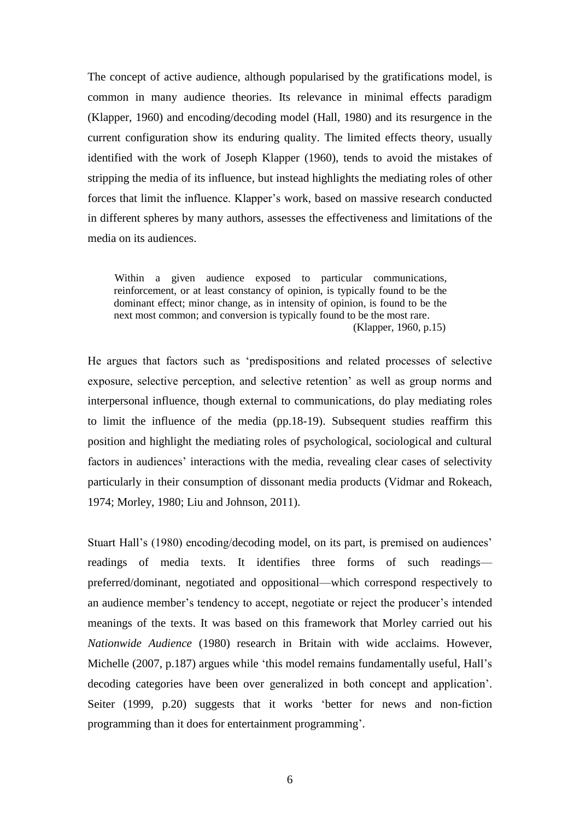The concept of active audience, although popularised by the gratifications model, is common in many audience theories. Its relevance in minimal effects paradigm (Klapper, 1960) and encoding/decoding model (Hall, 1980) and its resurgence in the current configuration show its enduring quality. The limited effects theory, usually identified with the work of Joseph Klapper (1960), tends to avoid the mistakes of stripping the media of its influence, but instead highlights the mediating roles of other forces that limit the influence. Klapper's work, based on massive research conducted in different spheres by many authors, assesses the effectiveness and limitations of the media on its audiences.

 Within a given audience exposed to particular communications, reinforcement, or at least constancy of opinion, is typically found to be the dominant effect; minor change, as in intensity of opinion, is found to be the next most common; and conversion is typically found to be the most rare. (Klapper, 1960, p.15)

He argues that factors such as 'predispositions and related processes of selective exposure, selective perception, and selective retention' as well as group norms and interpersonal influence, though external to communications, do play mediating roles to limit the influence of the media (pp.18-19). Subsequent studies reaffirm this position and highlight the mediating roles of psychological, sociological and cultural factors in audiences' interactions with the media, revealing clear cases of selectivity particularly in their consumption of dissonant media products (Vidmar and Rokeach, 1974; Morley, 1980; Liu and Johnson, 2011).

Stuart Hall's (1980) encoding/decoding model, on its part, is premised on audiences' readings of media texts. It identifies three forms of such readings preferred/dominant, negotiated and oppositional—which correspond respectively to an audience member's tendency to accept, negotiate or reject the producer's intended meanings of the texts. It was based on this framework that Morley carried out his *Nationwide Audience* (1980) research in Britain with wide acclaims. However, Michelle (2007, p.187) argues while 'this model remains fundamentally useful, Hall's decoding categories have been over generalized in both concept and application'. Seiter (1999, p.20) suggests that it works 'better for news and non-fiction programming than it does for entertainment programming'.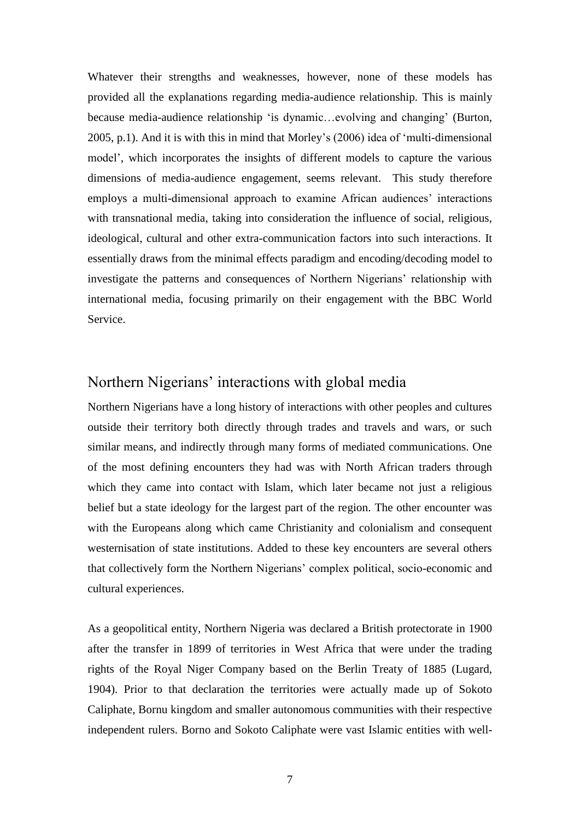Whatever their strengths and weaknesses, however, none of these models has provided all the explanations regarding media-audience relationship. This is mainly because media-audience relationship 'is dynamic…evolving and changing' (Burton, 2005, p.1). And it is with this in mind that Morley's (2006) idea of 'multi-dimensional model', which incorporates the insights of different models to capture the various dimensions of media-audience engagement, seems relevant. This study therefore employs a multi-dimensional approach to examine African audiences' interactions with transnational media, taking into consideration the influence of social, religious, ideological, cultural and other extra-communication factors into such interactions. It essentially draws from the minimal effects paradigm and encoding/decoding model to investigate the patterns and consequences of Northern Nigerians' relationship with international media, focusing primarily on their engagement with the BBC World Service.

## Northern Nigerians' interactions with global media

Northern Nigerians have a long history of interactions with other peoples and cultures outside their territory both directly through trades and travels and wars, or such similar means, and indirectly through many forms of mediated communications. One of the most defining encounters they had was with North African traders through which they came into contact with Islam, which later became not just a religious belief but a state ideology for the largest part of the region. The other encounter was with the Europeans along which came Christianity and colonialism and consequent westernisation of state institutions. Added to these key encounters are several others that collectively form the Northern Nigerians' complex political, socio-economic and cultural experiences.

As a geopolitical entity, Northern Nigeria was declared a British protectorate in 1900 after the transfer in 1899 of territories in West Africa that were under the trading rights of the Royal Niger Company based on the Berlin Treaty of 1885 (Lugard, 1904). Prior to that declaration the territories were actually made up of Sokoto Caliphate, Bornu kingdom and smaller autonomous communities with their respective independent rulers. Borno and Sokoto Caliphate were vast Islamic entities with well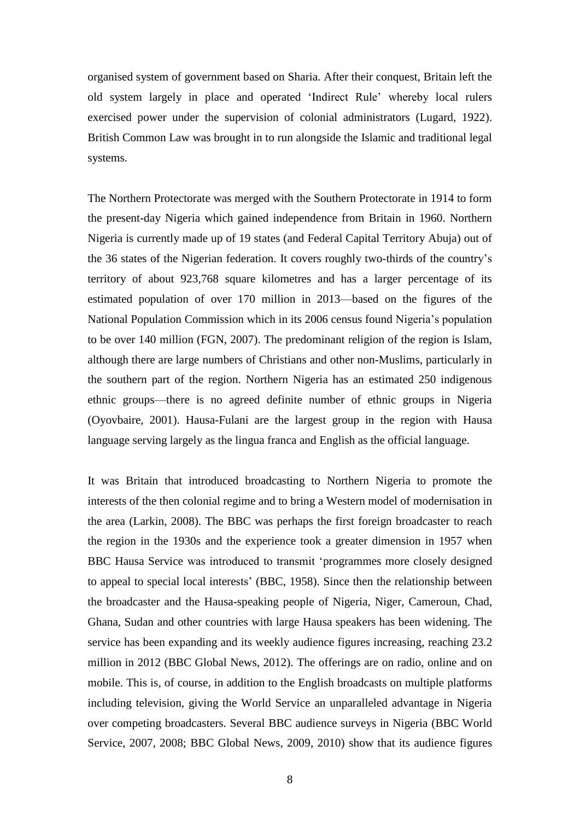organised system of government based on Sharia. After their conquest, Britain left the old system largely in place and operated 'Indirect Rule' whereby local rulers exercised power under the supervision of colonial administrators (Lugard, 1922). British Common Law was brought in to run alongside the Islamic and traditional legal systems.

The Northern Protectorate was merged with the Southern Protectorate in 1914 to form the present-day Nigeria which gained independence from Britain in 1960. Northern Nigeria is currently made up of 19 states (and Federal Capital Territory Abuja) out of the 36 states of the Nigerian federation. It covers roughly two-thirds of the country's territory of about 923,768 square kilometres and has a larger percentage of its estimated population of over 170 million in 2013—based on the figures of the National Population Commission which in its 2006 census found Nigeria's population to be over 140 million (FGN, 2007). The predominant religion of the region is Islam, although there are large numbers of Christians and other non-Muslims, particularly in the southern part of the region. Northern Nigeria has an estimated 250 indigenous ethnic groups—there is no agreed definite number of ethnic groups in Nigeria (Oyovbaire, 2001). Hausa-Fulani are the largest group in the region with Hausa language serving largely as the lingua franca and English as the official language.

It was Britain that introduced broadcasting to Northern Nigeria to promote the interests of the then colonial regime and to bring a Western model of modernisation in the area (Larkin, 2008). The BBC was perhaps the first foreign broadcaster to reach the region in the 1930s and the experience took a greater dimension in 1957 when BBC Hausa Service was introduced to transmit 'programmes more closely designed to appeal to special local interests' (BBC, 1958). Since then the relationship between the broadcaster and the Hausa-speaking people of Nigeria, Niger, Cameroun, Chad, Ghana, Sudan and other countries with large Hausa speakers has been widening. The service has been expanding and its weekly audience figures increasing, reaching 23.2 million in 2012 (BBC Global News, 2012). The offerings are on radio, online and on mobile. This is, of course, in addition to the English broadcasts on multiple platforms including television, giving the World Service an unparalleled advantage in Nigeria over competing broadcasters. Several BBC audience surveys in Nigeria (BBC World Service, 2007, 2008; BBC Global News, 2009, 2010) show that its audience figures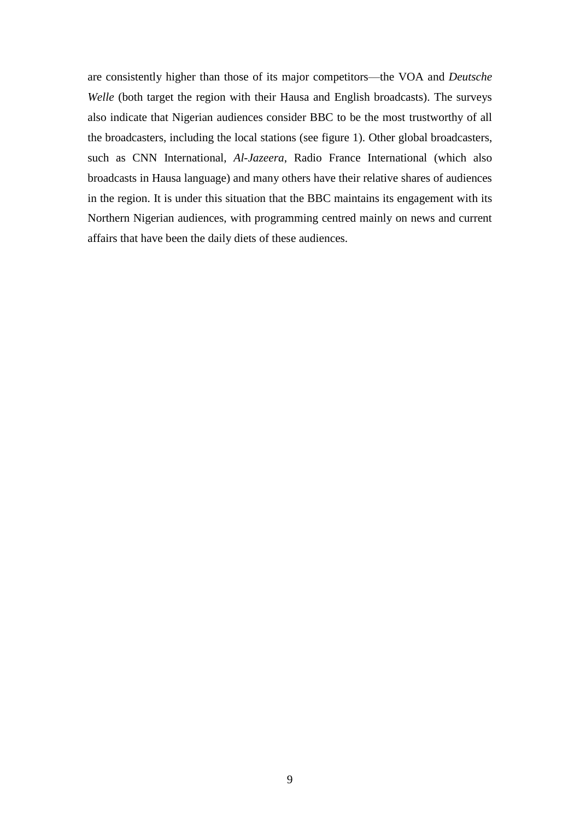are consistently higher than those of its major competitors—the VOA and *Deutsche Welle* (both target the region with their Hausa and English broadcasts). The surveys also indicate that Nigerian audiences consider BBC to be the most trustworthy of all the broadcasters, including the local stations (see figure 1). Other global broadcasters, such as CNN International, *Al-Jazeera*, Radio France International (which also broadcasts in Hausa language) and many others have their relative shares of audiences in the region. It is under this situation that the BBC maintains its engagement with its Northern Nigerian audiences, with programming centred mainly on news and current affairs that have been the daily diets of these audiences.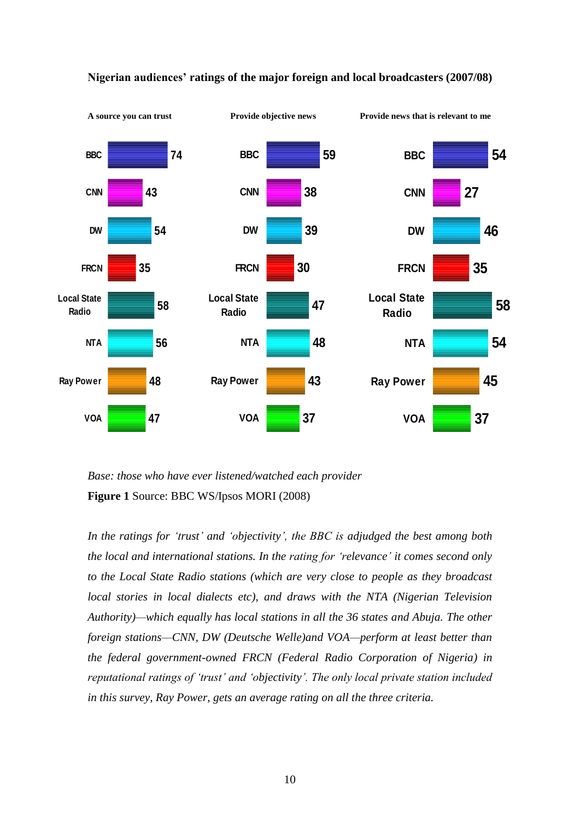

#### **Nigerian audiences' ratings of the major foreign and local broadcasters (2007/08)**

*Base: those who have ever listened/watched each provider* **Figure 1** Source: BBC WS/Ipsos MORI (2008)

*In the ratings for 'trust' and 'objectivity', the BBC is adjudged the best among both the local and international stations. In the rating for 'relevance' it comes second only to the Local State Radio stations (which are very close to people as they broadcast local stories in local dialects etc), and draws with the NTA (Nigerian Television Authority)—which equally has local stations in all the 36 states and Abuja. The other foreign stations—CNN, DW (Deutsche Welle)and VOA—perform at least better than the federal government-owned FRCN (Federal Radio Corporation of Nigeria) in reputational ratings of 'trust' and 'objectivity'. The only local private station included in this survey, Ray Power, gets an average rating on all the three criteria.*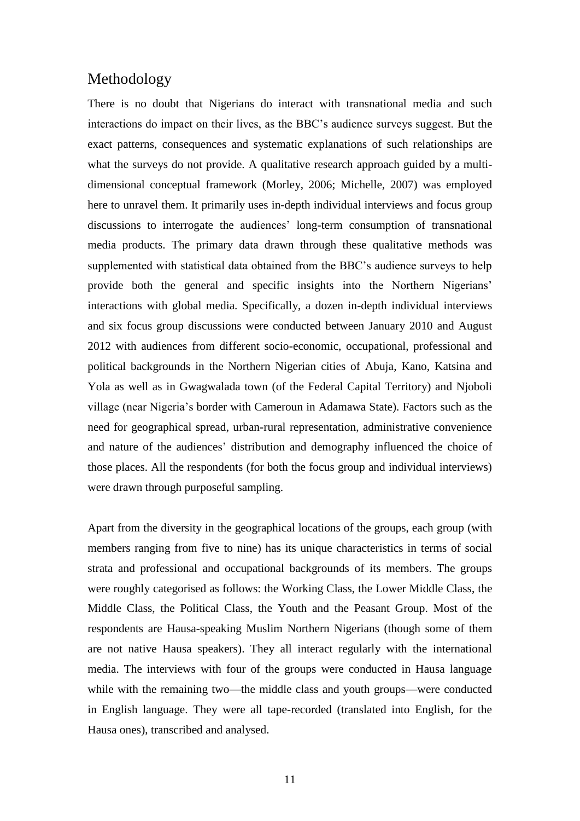## Methodology

There is no doubt that Nigerians do interact with transnational media and such interactions do impact on their lives, as the BBC's audience surveys suggest. But the exact patterns, consequences and systematic explanations of such relationships are what the surveys do not provide. A qualitative research approach guided by a multidimensional conceptual framework (Morley, 2006; Michelle, 2007) was employed here to unravel them. It primarily uses in-depth individual interviews and focus group discussions to interrogate the audiences' long-term consumption of transnational media products. The primary data drawn through these qualitative methods was supplemented with statistical data obtained from the BBC's audience surveys to help provide both the general and specific insights into the Northern Nigerians' interactions with global media. Specifically, a dozen in-depth individual interviews and six focus group discussions were conducted between January 2010 and August 2012 with audiences from different socio-economic, occupational, professional and political backgrounds in the Northern Nigerian cities of Abuja, Kano, Katsina and Yola as well as in Gwagwalada town (of the Federal Capital Territory) and Njoboli village (near Nigeria's border with Cameroun in Adamawa State). Factors such as the need for geographical spread, urban-rural representation, administrative convenience and nature of the audiences' distribution and demography influenced the choice of those places. All the respondents (for both the focus group and individual interviews) were drawn through purposeful sampling.

Apart from the diversity in the geographical locations of the groups, each group (with members ranging from five to nine) has its unique characteristics in terms of social strata and professional and occupational backgrounds of its members. The groups were roughly categorised as follows: the Working Class, the Lower Middle Class, the Middle Class, the Political Class, the Youth and the Peasant Group. Most of the respondents are Hausa-speaking Muslim Northern Nigerians (though some of them are not native Hausa speakers). They all interact regularly with the international media. The interviews with four of the groups were conducted in Hausa language while with the remaining two—the middle class and youth groups—were conducted in English language. They were all tape-recorded (translated into English, for the Hausa ones), transcribed and analysed.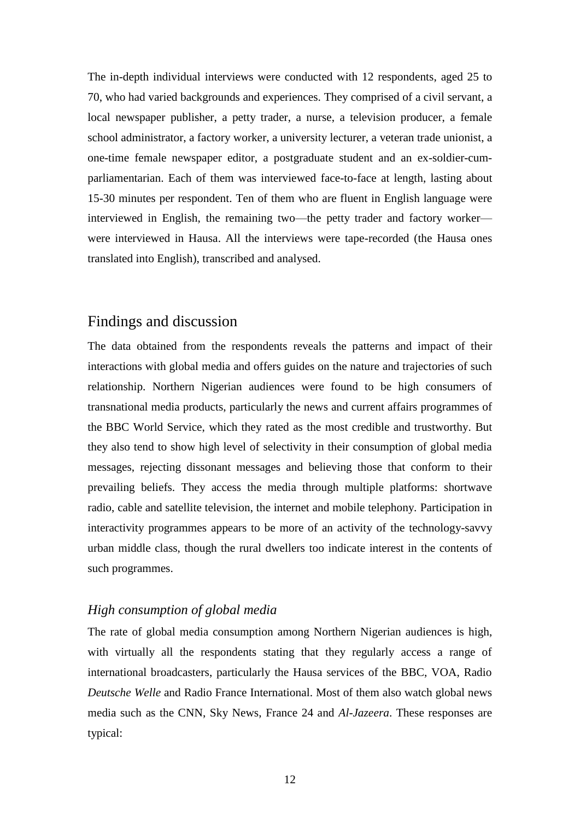The in-depth individual interviews were conducted with 12 respondents, aged 25 to 70, who had varied backgrounds and experiences. They comprised of a civil servant, a local newspaper publisher, a petty trader, a nurse, a television producer, a female school administrator, a factory worker, a university lecturer, a veteran trade unionist, a one-time female newspaper editor, a postgraduate student and an ex-soldier-cumparliamentarian. Each of them was interviewed face-to-face at length, lasting about 15-30 minutes per respondent. Ten of them who are fluent in English language were interviewed in English, the remaining two—the petty trader and factory worker were interviewed in Hausa. All the interviews were tape-recorded (the Hausa ones translated into English), transcribed and analysed.

### Findings and discussion

The data obtained from the respondents reveals the patterns and impact of their interactions with global media and offers guides on the nature and trajectories of such relationship. Northern Nigerian audiences were found to be high consumers of transnational media products, particularly the news and current affairs programmes of the BBC World Service, which they rated as the most credible and trustworthy. But they also tend to show high level of selectivity in their consumption of global media messages, rejecting dissonant messages and believing those that conform to their prevailing beliefs. They access the media through multiple platforms: shortwave radio, cable and satellite television, the internet and mobile telephony. Participation in interactivity programmes appears to be more of an activity of the technology-savvy urban middle class, though the rural dwellers too indicate interest in the contents of such programmes.

#### *High consumption of global media*

The rate of global media consumption among Northern Nigerian audiences is high, with virtually all the respondents stating that they regularly access a range of international broadcasters, particularly the Hausa services of the BBC, VOA, Radio *Deutsche Welle* and Radio France International. Most of them also watch global news media such as the CNN, Sky News, France 24 and *Al-Jazeera*. These responses are typical: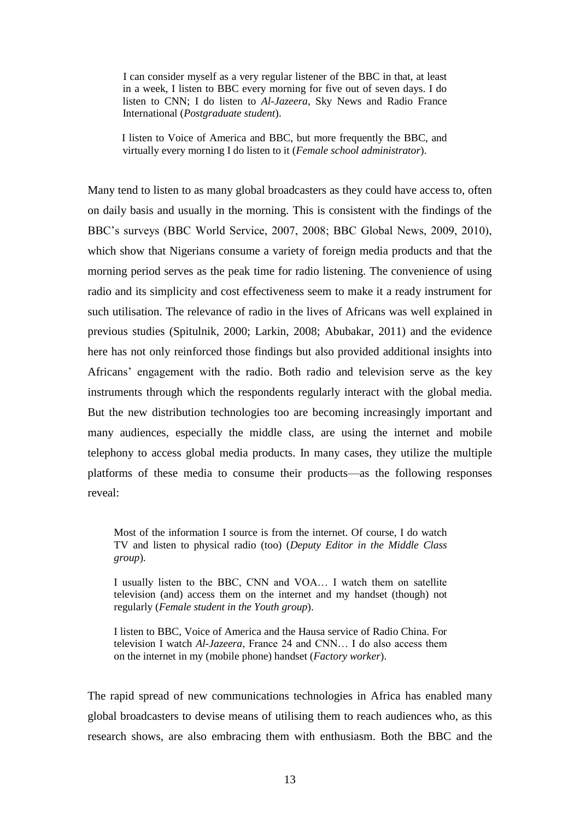I can consider myself as a very regular listener of the BBC in that, at least in a week, I listen to BBC every morning for five out of seven days. I do listen to CNN; I do listen to *Al-Jazeera*, Sky News and Radio France International (*Postgraduate student*).

 I listen to Voice of America and BBC, but more frequently the BBC, and virtually every morning I do listen to it (*Female school administrator*).

Many tend to listen to as many global broadcasters as they could have access to, often on daily basis and usually in the morning. This is consistent with the findings of the BBC's surveys (BBC World Service, 2007, 2008; BBC Global News, 2009, 2010), which show that Nigerians consume a variety of foreign media products and that the morning period serves as the peak time for radio listening. The convenience of using radio and its simplicity and cost effectiveness seem to make it a ready instrument for such utilisation. The relevance of radio in the lives of Africans was well explained in previous studies (Spitulnik, 2000; Larkin, 2008; Abubakar, 2011) and the evidence here has not only reinforced those findings but also provided additional insights into Africans' engagement with the radio. Both radio and television serve as the key instruments through which the respondents regularly interact with the global media. But the new distribution technologies too are becoming increasingly important and many audiences, especially the middle class, are using the internet and mobile telephony to access global media products. In many cases, they utilize the multiple platforms of these media to consume their products—as the following responses reveal:

Most of the information I source is from the internet. Of course, I do watch TV and listen to physical radio (too) (*Deputy Editor in the Middle Class group*).

I usually listen to the BBC, CNN and VOA… I watch them on satellite television (and) access them on the internet and my handset (though) not regularly (*Female student in the Youth group*).

I listen to BBC, Voice of America and the Hausa service of Radio China. For television I watch *Al-Jazeera*, France 24 and CNN… I do also access them on the internet in my (mobile phone) handset (*Factory worker*).

The rapid spread of new communications technologies in Africa has enabled many global broadcasters to devise means of utilising them to reach audiences who, as this research shows, are also embracing them with enthusiasm. Both the BBC and the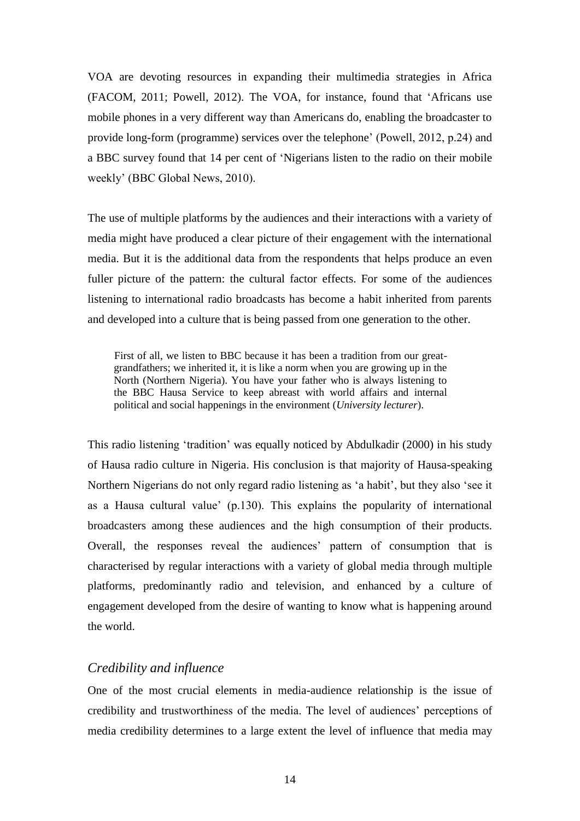VOA are devoting resources in expanding their multimedia strategies in Africa (FACOM, 2011; Powell, 2012). The VOA, for instance, found that 'Africans use mobile phones in a very different way than Americans do, enabling the broadcaster to provide long-form (programme) services over the telephone' (Powell, 2012, p.24) and a BBC survey found that 14 per cent of 'Nigerians listen to the radio on their mobile weekly' (BBC Global News, 2010).

The use of multiple platforms by the audiences and their interactions with a variety of media might have produced a clear picture of their engagement with the international media. But it is the additional data from the respondents that helps produce an even fuller picture of the pattern: the cultural factor effects. For some of the audiences listening to international radio broadcasts has become a habit inherited from parents and developed into a culture that is being passed from one generation to the other.

 First of all, we listen to BBC because it has been a tradition from our greatgrandfathers; we inherited it, it is like a norm when you are growing up in the North (Northern Nigeria). You have your father who is always listening to the BBC Hausa Service to keep abreast with world affairs and internal political and social happenings in the environment (*University lecturer*).

This radio listening 'tradition' was equally noticed by Abdulkadir (2000) in his study of Hausa radio culture in Nigeria. His conclusion is that majority of Hausa-speaking Northern Nigerians do not only regard radio listening as 'a habit', but they also 'see it as a Hausa cultural value' (p.130). This explains the popularity of international broadcasters among these audiences and the high consumption of their products. Overall, the responses reveal the audiences' pattern of consumption that is characterised by regular interactions with a variety of global media through multiple platforms, predominantly radio and television, and enhanced by a culture of engagement developed from the desire of wanting to know what is happening around the world.

#### *Credibility and influence*

One of the most crucial elements in media-audience relationship is the issue of credibility and trustworthiness of the media. The level of audiences' perceptions of media credibility determines to a large extent the level of influence that media may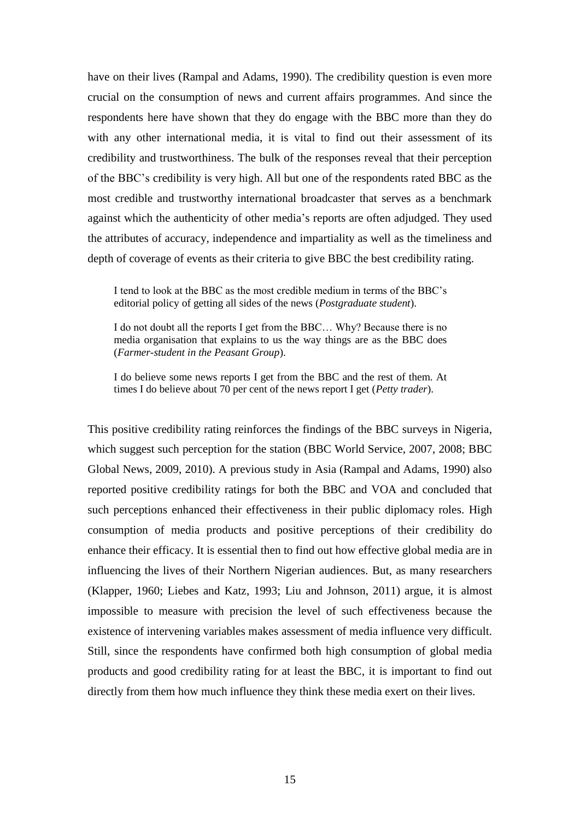have on their lives (Rampal and Adams, 1990). The credibility question is even more crucial on the consumption of news and current affairs programmes. And since the respondents here have shown that they do engage with the BBC more than they do with any other international media, it is vital to find out their assessment of its credibility and trustworthiness. The bulk of the responses reveal that their perception of the BBC's credibility is very high. All but one of the respondents rated BBC as the most credible and trustworthy international broadcaster that serves as a benchmark against which the authenticity of other media's reports are often adjudged. They used the attributes of accuracy, independence and impartiality as well as the timeliness and depth of coverage of events as their criteria to give BBC the best credibility rating.

I tend to look at the BBC as the most credible medium in terms of the BBC's editorial policy of getting all sides of the news (*Postgraduate student*).

I do not doubt all the reports I get from the BBC… Why? Because there is no media organisation that explains to us the way things are as the BBC does (*Farmer-student in the Peasant Group*).

I do believe some news reports I get from the BBC and the rest of them. At times I do believe about 70 per cent of the news report I get (*Petty trader*).

This positive credibility rating reinforces the findings of the BBC surveys in Nigeria, which suggest such perception for the station (BBC World Service, 2007, 2008; BBC Global News, 2009, 2010). A previous study in Asia (Rampal and Adams, 1990) also reported positive credibility ratings for both the BBC and VOA and concluded that such perceptions enhanced their effectiveness in their public diplomacy roles. High consumption of media products and positive perceptions of their credibility do enhance their efficacy. It is essential then to find out how effective global media are in influencing the lives of their Northern Nigerian audiences. But, as many researchers (Klapper, 1960; Liebes and Katz, 1993; Liu and Johnson, 2011) argue, it is almost impossible to measure with precision the level of such effectiveness because the existence of intervening variables makes assessment of media influence very difficult. Still, since the respondents have confirmed both high consumption of global media products and good credibility rating for at least the BBC, it is important to find out directly from them how much influence they think these media exert on their lives.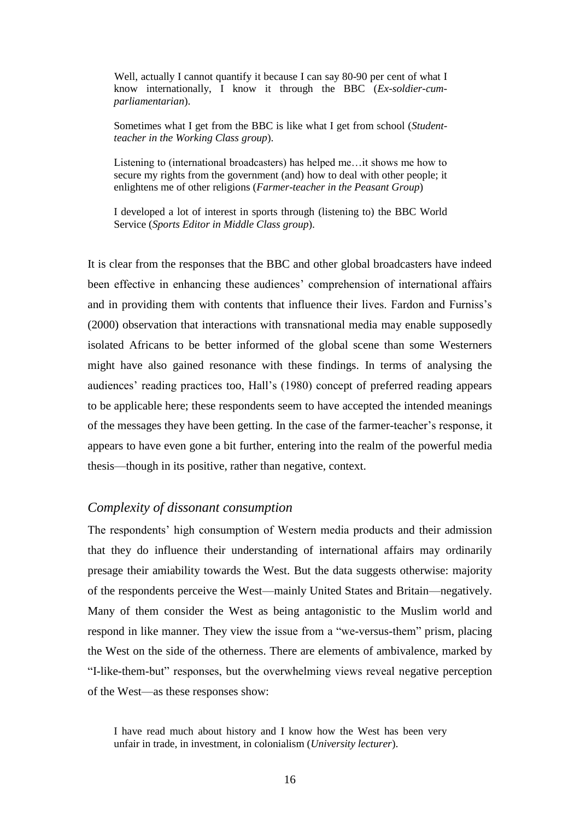Well, actually I cannot quantify it because I can say 80-90 per cent of what I know internationally, I know it through the BBC (*Ex-soldier-cumparliamentarian*).

 Sometimes what I get from the BBC is like what I get from school (*Studentteacher in the Working Class group*).

 Listening to (international broadcasters) has helped me…it shows me how to secure my rights from the government (and) how to deal with other people; it enlightens me of other religions (*Farmer-teacher in the Peasant Group*)

 I developed a lot of interest in sports through (listening to) the BBC World Service (*Sports Editor in Middle Class group*).

It is clear from the responses that the BBC and other global broadcasters have indeed been effective in enhancing these audiences' comprehension of international affairs and in providing them with contents that influence their lives. Fardon and Furniss's (2000) observation that interactions with transnational media may enable supposedly isolated Africans to be better informed of the global scene than some Westerners might have also gained resonance with these findings. In terms of analysing the audiences' reading practices too, Hall's (1980) concept of preferred reading appears to be applicable here; these respondents seem to have accepted the intended meanings of the messages they have been getting. In the case of the farmer-teacher's response, it appears to have even gone a bit further, entering into the realm of the powerful media thesis—though in its positive, rather than negative, context.

#### *Complexity of dissonant consumption*

The respondents' high consumption of Western media products and their admission that they do influence their understanding of international affairs may ordinarily presage their amiability towards the West. But the data suggests otherwise: majority of the respondents perceive the West—mainly United States and Britain—negatively. Many of them consider the West as being antagonistic to the Muslim world and respond in like manner. They view the issue from a "we-versus-them" prism, placing the West on the side of the otherness. There are elements of ambivalence, marked by "I-like-them-but" responses, but the overwhelming views reveal negative perception of the West—as these responses show:

I have read much about history and I know how the West has been very unfair in trade, in investment, in colonialism (*University lecturer*).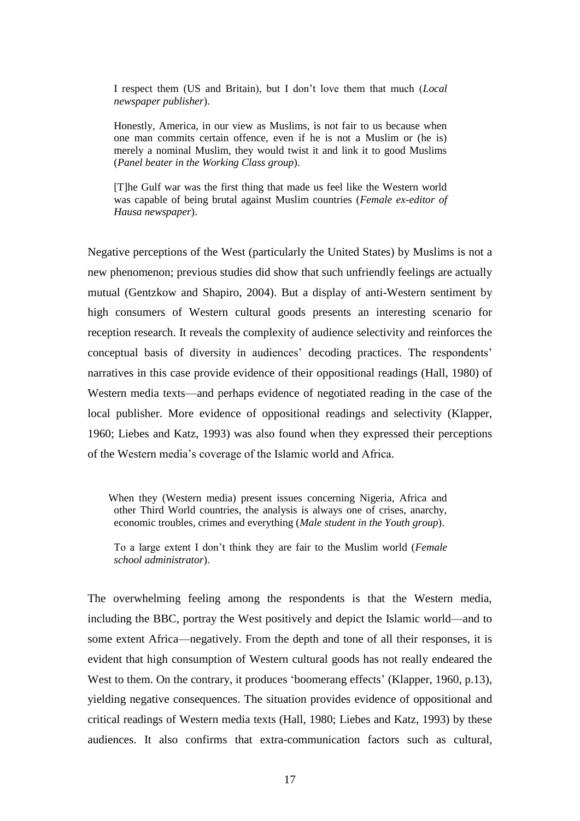I respect them (US and Britain), but I don't love them that much (*Local newspaper publisher*).

 Honestly, America, in our view as Muslims, is not fair to us because when one man commits certain offence, even if he is not a Muslim or (he is) merely a nominal Muslim, they would twist it and link it to good Muslims (*Panel beater in the Working Class group*).

 [T]he Gulf war was the first thing that made us feel like the Western world was capable of being brutal against Muslim countries (*Female ex-editor of Hausa newspaper*).

Negative perceptions of the West (particularly the United States) by Muslims is not a new phenomenon; previous studies did show that such unfriendly feelings are actually mutual (Gentzkow and Shapiro, 2004). But a display of anti-Western sentiment by high consumers of Western cultural goods presents an interesting scenario for reception research. It reveals the complexity of audience selectivity and reinforces the conceptual basis of diversity in audiences' decoding practices. The respondents' narratives in this case provide evidence of their oppositional readings (Hall, 1980) of Western media texts—and perhaps evidence of negotiated reading in the case of the local publisher. More evidence of oppositional readings and selectivity (Klapper, 1960; Liebes and Katz, 1993) was also found when they expressed their perceptions of the Western media's coverage of the Islamic world and Africa.

When they (Western media) present issues concerning Nigeria, Africa and other Third World countries, the analysis is always one of crises, anarchy, economic troubles, crimes and everything (*Male student in the Youth group*).

 To a large extent I don't think they are fair to the Muslim world (*Female school administrator*).

The overwhelming feeling among the respondents is that the Western media, including the BBC, portray the West positively and depict the Islamic world—and to some extent Africa—negatively. From the depth and tone of all their responses, it is evident that high consumption of Western cultural goods has not really endeared the West to them. On the contrary, it produces 'boomerang effects' (Klapper, 1960, p.13), yielding negative consequences. The situation provides evidence of oppositional and critical readings of Western media texts (Hall, 1980; Liebes and Katz, 1993) by these audiences. It also confirms that extra-communication factors such as cultural,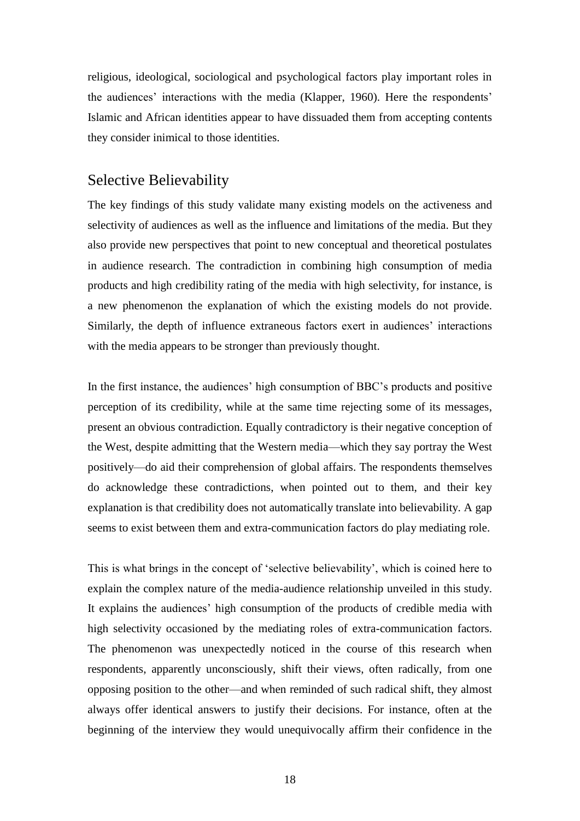religious, ideological, sociological and psychological factors play important roles in the audiences' interactions with the media (Klapper, 1960). Here the respondents' Islamic and African identities appear to have dissuaded them from accepting contents they consider inimical to those identities.

#### Selective Believability

The key findings of this study validate many existing models on the activeness and selectivity of audiences as well as the influence and limitations of the media. But they also provide new perspectives that point to new conceptual and theoretical postulates in audience research. The contradiction in combining high consumption of media products and high credibility rating of the media with high selectivity, for instance, is a new phenomenon the explanation of which the existing models do not provide. Similarly, the depth of influence extraneous factors exert in audiences' interactions with the media appears to be stronger than previously thought.

In the first instance, the audiences' high consumption of BBC's products and positive perception of its credibility, while at the same time rejecting some of its messages, present an obvious contradiction. Equally contradictory is their negative conception of the West, despite admitting that the Western media—which they say portray the West positively—do aid their comprehension of global affairs. The respondents themselves do acknowledge these contradictions, when pointed out to them, and their key explanation is that credibility does not automatically translate into believability. A gap seems to exist between them and extra-communication factors do play mediating role.

This is what brings in the concept of 'selective believability', which is coined here to explain the complex nature of the media-audience relationship unveiled in this study. It explains the audiences' high consumption of the products of credible media with high selectivity occasioned by the mediating roles of extra-communication factors. The phenomenon was unexpectedly noticed in the course of this research when respondents, apparently unconsciously, shift their views, often radically, from one opposing position to the other—and when reminded of such radical shift, they almost always offer identical answers to justify their decisions. For instance, often at the beginning of the interview they would unequivocally affirm their confidence in the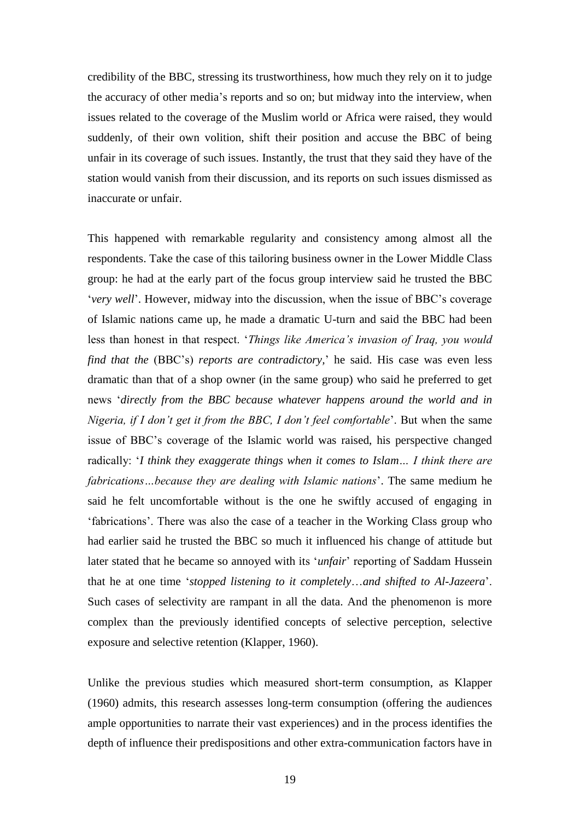credibility of the BBC, stressing its trustworthiness, how much they rely on it to judge the accuracy of other media's reports and so on; but midway into the interview, when issues related to the coverage of the Muslim world or Africa were raised, they would suddenly, of their own volition, shift their position and accuse the BBC of being unfair in its coverage of such issues. Instantly, the trust that they said they have of the station would vanish from their discussion, and its reports on such issues dismissed as inaccurate or unfair.

This happened with remarkable regularity and consistency among almost all the respondents. Take the case of this tailoring business owner in the Lower Middle Class group: he had at the early part of the focus group interview said he trusted the BBC '*very well*'. However, midway into the discussion, when the issue of BBC's coverage of Islamic nations came up, he made a dramatic U-turn and said the BBC had been less than honest in that respect. '*Things like America's invasion of Iraq, you would find that the* (BBC's) *reports are contradictory,*' he said. His case was even less dramatic than that of a shop owner (in the same group) who said he preferred to get news '*directly from the BBC because whatever happens around the world and in Nigeria, if I don't get it from the BBC, I don't feel comfortable*'. But when the same issue of BBC's coverage of the Islamic world was raised, his perspective changed radically: '*I think they exaggerate things when it comes to Islam… I think there are fabrications…because they are dealing with Islamic nations*'. The same medium he said he felt uncomfortable without is the one he swiftly accused of engaging in 'fabrications'. There was also the case of a teacher in the Working Class group who had earlier said he trusted the BBC so much it influenced his change of attitude but later stated that he became so annoyed with its '*unfair*' reporting of Saddam Hussein that he at one time '*stopped listening to it completely*…*and shifted to Al-Jazeera*'. Such cases of selectivity are rampant in all the data. And the phenomenon is more complex than the previously identified concepts of selective perception, selective exposure and selective retention (Klapper, 1960).

Unlike the previous studies which measured short-term consumption, as Klapper (1960) admits, this research assesses long-term consumption (offering the audiences ample opportunities to narrate their vast experiences) and in the process identifies the depth of influence their predispositions and other extra-communication factors have in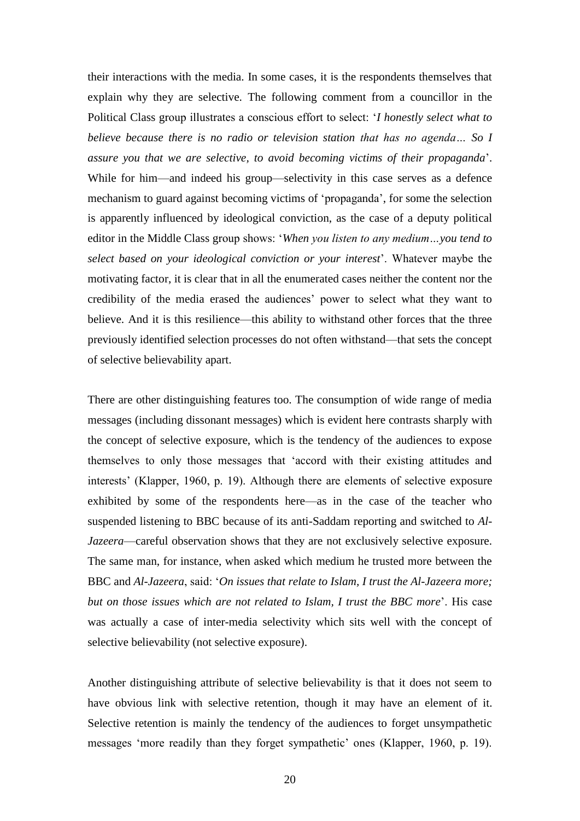their interactions with the media. In some cases, it is the respondents themselves that explain why they are selective. The following comment from a councillor in the Political Class group illustrates a conscious effort to select: '*I honestly select what to believe because there is no radio or television station that has no agenda… So I assure you that we are selective, to avoid becoming victims of their propaganda*'. While for him—and indeed his group—selectivity in this case serves as a defence mechanism to guard against becoming victims of 'propaganda', for some the selection is apparently influenced by ideological conviction, as the case of a deputy political editor in the Middle Class group shows: '*When you listen to any medium…you tend to select based on your ideological conviction or your interest*'. Whatever maybe the motivating factor, it is clear that in all the enumerated cases neither the content nor the credibility of the media erased the audiences' power to select what they want to believe. And it is this resilience—this ability to withstand other forces that the three previously identified selection processes do not often withstand—that sets the concept of selective believability apart.

There are other distinguishing features too. The consumption of wide range of media messages (including dissonant messages) which is evident here contrasts sharply with the concept of selective exposure, which is the tendency of the audiences to expose themselves to only those messages that 'accord with their existing attitudes and interests' (Klapper, 1960, p. 19). Although there are elements of selective exposure exhibited by some of the respondents here—as in the case of the teacher who suspended listening to BBC because of its anti-Saddam reporting and switched to *Al-Jazeera*—careful observation shows that they are not exclusively selective exposure. The same man, for instance, when asked which medium he trusted more between the BBC and *Al-Jazeera*, said: '*On issues that relate to Islam, I trust the Al-Jazeera more; but on those issues which are not related to Islam, I trust the BBC more*'. His case was actually a case of inter-media selectivity which sits well with the concept of selective believability (not selective exposure).

Another distinguishing attribute of selective believability is that it does not seem to have obvious link with selective retention, though it may have an element of it. Selective retention is mainly the tendency of the audiences to forget unsympathetic messages 'more readily than they forget sympathetic' ones (Klapper, 1960, p. 19).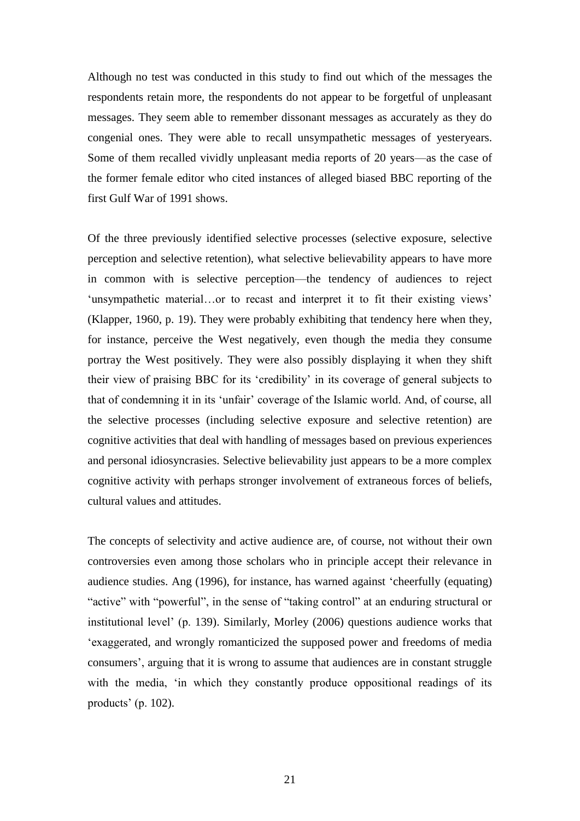Although no test was conducted in this study to find out which of the messages the respondents retain more, the respondents do not appear to be forgetful of unpleasant messages. They seem able to remember dissonant messages as accurately as they do congenial ones. They were able to recall unsympathetic messages of yesteryears. Some of them recalled vividly unpleasant media reports of 20 years—as the case of the former female editor who cited instances of alleged biased BBC reporting of the first Gulf War of 1991 shows.

Of the three previously identified selective processes (selective exposure, selective perception and selective retention), what selective believability appears to have more in common with is selective perception—the tendency of audiences to reject 'unsympathetic material…or to recast and interpret it to fit their existing views' (Klapper, 1960, p. 19). They were probably exhibiting that tendency here when they, for instance, perceive the West negatively, even though the media they consume portray the West positively. They were also possibly displaying it when they shift their view of praising BBC for its 'credibility' in its coverage of general subjects to that of condemning it in its 'unfair' coverage of the Islamic world. And, of course, all the selective processes (including selective exposure and selective retention) are cognitive activities that deal with handling of messages based on previous experiences and personal idiosyncrasies. Selective believability just appears to be a more complex cognitive activity with perhaps stronger involvement of extraneous forces of beliefs, cultural values and attitudes.

The concepts of selectivity and active audience are, of course, not without their own controversies even among those scholars who in principle accept their relevance in audience studies. Ang (1996), for instance, has warned against 'cheerfully (equating) "active" with "powerful", in the sense of "taking control" at an enduring structural or institutional level' (p. 139). Similarly, Morley (2006) questions audience works that 'exaggerated, and wrongly romanticized the supposed power and freedoms of media consumers', arguing that it is wrong to assume that audiences are in constant struggle with the media, 'in which they constantly produce oppositional readings of its products' (p. 102).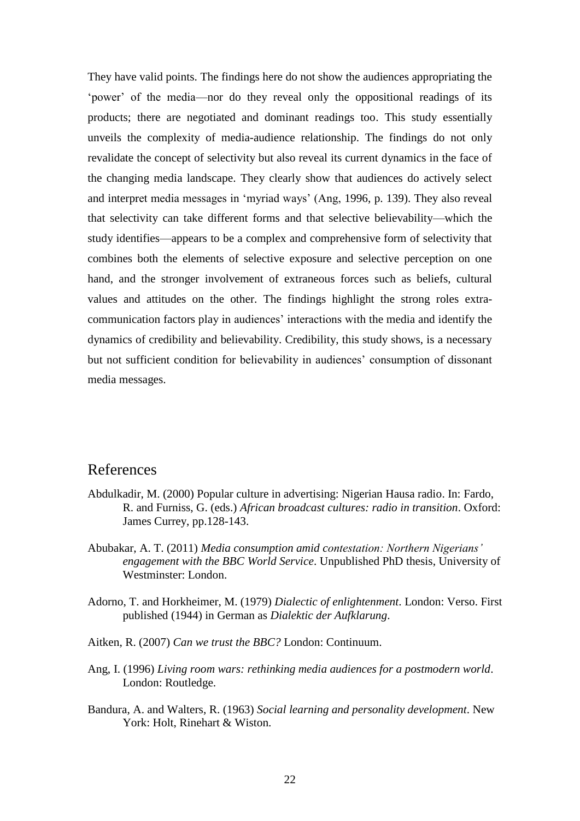They have valid points. The findings here do not show the audiences appropriating the 'power' of the media—nor do they reveal only the oppositional readings of its products; there are negotiated and dominant readings too. This study essentially unveils the complexity of media-audience relationship. The findings do not only revalidate the concept of selectivity but also reveal its current dynamics in the face of the changing media landscape. They clearly show that audiences do actively select and interpret media messages in 'myriad ways' (Ang, 1996, p. 139). They also reveal that selectivity can take different forms and that selective believability—which the study identifies—appears to be a complex and comprehensive form of selectivity that combines both the elements of selective exposure and selective perception on one hand, and the stronger involvement of extraneous forces such as beliefs, cultural values and attitudes on the other. The findings highlight the strong roles extracommunication factors play in audiences' interactions with the media and identify the dynamics of credibility and believability. Credibility, this study shows, is a necessary but not sufficient condition for believability in audiences' consumption of dissonant media messages.

#### References

- Abdulkadir, M. (2000) Popular culture in advertising: Nigerian Hausa radio. In: Fardo, R. and Furniss, G. (eds.) *African broadcast cultures: radio in transition*. Oxford: James Currey, pp.128-143.
- Abubakar, A. T. (2011) *Media consumption amid contestation: Northern Nigerians' engagement with the BBC World Service*. Unpublished PhD thesis, University of Westminster: London.
- Adorno, T. and Horkheimer, M. (1979) *Dialectic of enlightenment*. London: Verso. First published (1944) in German as *Dialektic der Aufklarung*.
- Aitken, R. (2007) *Can we trust the BBC?* London: Continuum.
- Ang, I. (1996) *Living room wars: rethinking media audiences for a postmodern world*. London: Routledge.
- Bandura, A. and Walters, R. (1963) *Social learning and personality development*. New York: Holt, Rinehart & Wiston.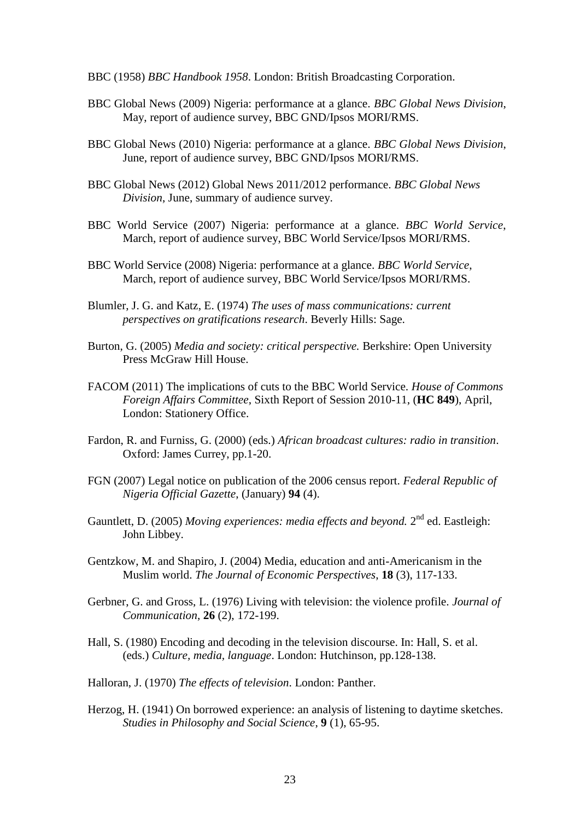- BBC (1958) *BBC Handbook 1958*. London: British Broadcasting Corporation.
- BBC Global News (2009) Nigeria: performance at a glance. *BBC Global News Division*, May, report of audience survey, BBC GND/Ipsos MORI/RMS.
- BBC Global News (2010) Nigeria: performance at a glance. *BBC Global News Division*, June, report of audience survey, BBC GND/Ipsos MORI/RMS.
- BBC Global News (2012) Global News 2011/2012 performance. *BBC Global News Division*, June, summary of audience survey.
- BBC World Service (2007) Nigeria: performance at a glance. *BBC World Service*, March, report of audience survey, BBC World Service/Ipsos MORI/RMS.
- BBC World Service (2008) Nigeria: performance at a glance. *BBC World Service*, March, report of audience survey, BBC World Service/Ipsos MORI/RMS.
- Blumler, J. G. and Katz, E. (1974) *The uses of mass communications: current perspectives on gratifications research*. Beverly Hills: Sage.
- Burton, G. (2005) *Media and society: critical perspective.* Berkshire: Open University Press McGraw Hill House.
- FACOM (2011) The implications of cuts to the BBC World Service. *House of Commons Foreign Affairs Committee*, Sixth Report of Session 2010-11, (**HC 849**), April, London: Stationery Office.
- Fardon, R. and Furniss, G. (2000) (eds.) *African broadcast cultures: radio in transition*. Oxford: James Currey, pp.1-20.
- FGN (2007) Legal notice on publication of the 2006 census report. *Federal Republic of Nigeria Official Gazette*, (January) **94** (4).
- Gauntlett, D. (2005) Moving experiences: media effects and beyond. 2<sup>nd</sup> ed. Eastleigh: John Libbey.
- Gentzkow, M. and Shapiro, J. (2004) Media, education and anti-Americanism in the Muslim world. *The Journal of Economic Perspectives*, **18** (3), 117-133.
- Gerbner, G. and Gross, L. (1976) Living with television: the violence profile. *Journal of Communication*, **26** (2), 172-199.
- Hall, S. (1980) Encoding and decoding in the television discourse. In: Hall, S. et al. (eds.) *Culture, media, language*. London: Hutchinson, pp.128-138.
- Halloran, J. (1970) *The effects of television*. London: Panther.
- Herzog, H. (1941) On borrowed experience: an analysis of listening to daytime sketches. *Studies in Philosophy and Social Science*, **9** (1), 65-95.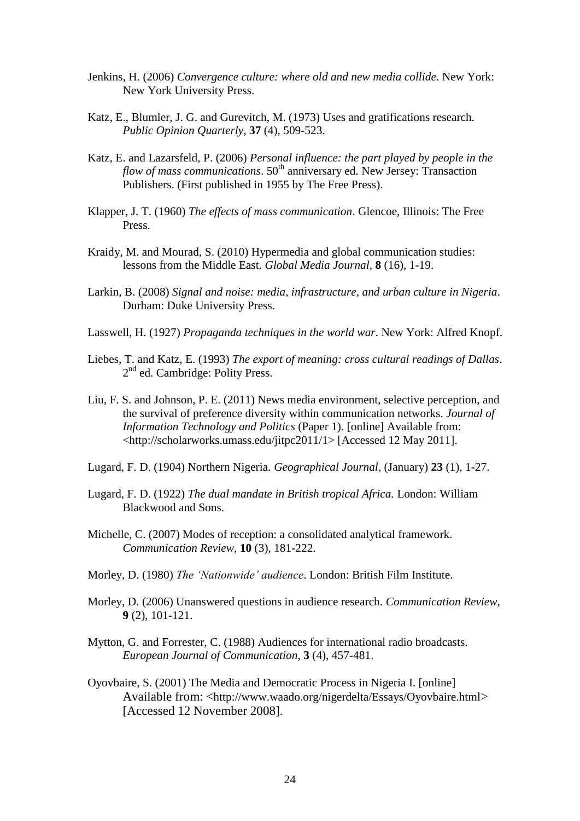- Jenkins, H. (2006) *Convergence culture: where old and new media collide*. New York: New York University Press.
- Katz, E., Blumler, J. G. and Gurevitch, M. (1973) Uses and gratifications research. *Public Opinion Quarterly*, **37** (4), 509-523.
- Katz, E. and Lazarsfeld, P. (2006) *Personal influence: the part played by people in the flow of mass communications*.  $50<sup>th</sup>$  anniversary ed. New Jersey: Transaction Publishers. (First published in 1955 by The Free Press).
- Klapper, J. T. (1960) *The effects of mass communication*. Glencoe, Illinois: The Free Press.
- Kraidy, M. and Mourad, S. (2010) Hypermedia and global communication studies: lessons from the Middle East. *Global Media Journal*, **8** (16), 1-19.
- Larkin, B. (2008) *Signal and noise: media, infrastructure, and urban culture in Nigeria*. Durham: Duke University Press.
- Lasswell, H. (1927) *Propaganda techniques in the world war*. New York: Alfred Knopf.
- Liebes, T. and Katz, E. (1993) *The export of meaning: cross cultural readings of Dallas*. 2<sup>nd</sup> ed. Cambridge: Polity Press.
- Liu, F. S. and Johnson, P. E. (2011) News media environment, selective perception, and the survival of preference diversity within communication networks. *Journal of Information Technology and Politics* (Paper 1). [online] Available from: [<http://scholarworks.umass.edu/jitpc2011/1>](http://scholarworks.umass.edu/jitpc2011/1) [Accessed 12 May 2011].
- Lugard, F. D. (1904) Northern Nigeria. *Geographical Journal*, (January) **23** (1), 1-27.
- Lugard, F. D. (1922) *The dual mandate in British tropical Africa.* London: William Blackwood and Sons.
- Michelle, C. (2007) Modes of reception: a consolidated analytical framework. *Communication Review*, **10** (3), 181-222.
- Morley, D. (1980) *The 'Nationwide' audience*. London: British Film Institute.
- Morley, D. (2006) Unanswered questions in audience research. *Communication Review*, **9** (2), 101-121.
- Mytton, G. and Forrester, C. (1988) Audiences for international radio broadcasts. *European Journal of Communication*, **3** (4), 457-481.
- Oyovbaire, S. (2001) The Media and Democratic Process in Nigeria I. [online] Available from: <<http://www.waado.org/nigerdelta/Essays/Oyovbaire.html>> [Accessed 12 November 2008].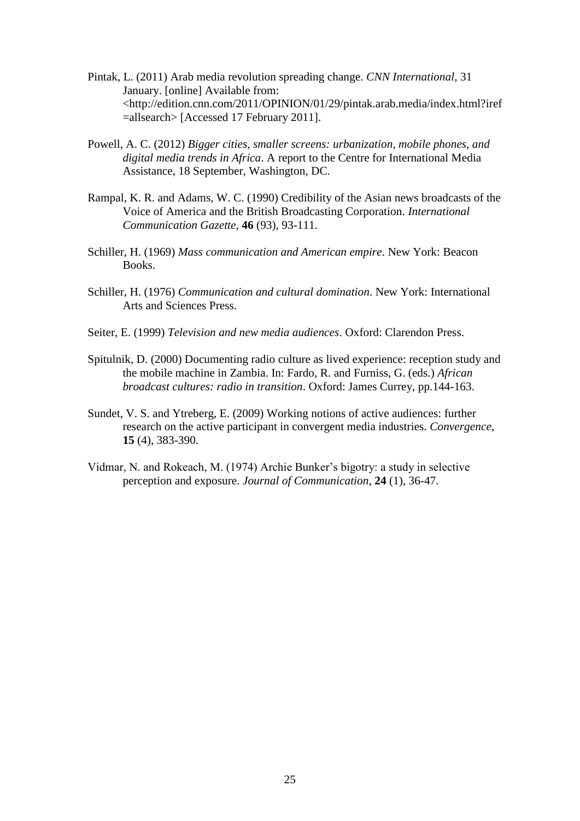- Pintak, L. (2011) Arab media revolution spreading change. *CNN International*, 31 January. [online] Available from: [<http://edition.cnn.com/2011/OPINION/01/29/pintak.arab.media/index.html?iref](http://edition.cnn.com/2011/OPINION/01/29/pintak.arab.media/index.html?iref=allsearch) [=allsearch>](http://edition.cnn.com/2011/OPINION/01/29/pintak.arab.media/index.html?iref=allsearch) [Accessed 17 February 2011].
- Powell, A. C. (2012) *Bigger cities, smaller screens: urbanization, mobile phones, and digital media trends in Africa*. A report to the Centre for International Media Assistance, 18 September, Washington, DC.
- Rampal, K. R. and Adams, W. C. (1990) Credibility of the Asian news broadcasts of the Voice of America and the British Broadcasting Corporation. *International Communication Gazette*, **46** (93), 93-111.
- Schiller, H. (1969) *Mass communication and American empire*. New York: Beacon Books.
- Schiller, H. (1976) *Communication and cultural domination*. New York: International Arts and Sciences Press.
- Seiter, E. (1999) *Television and new media audiences*. Oxford: Clarendon Press.
- Spitulnik, D. (2000) Documenting radio culture as lived experience: reception study and the mobile machine in Zambia. In: Fardo, R. and Furniss, G. (eds.) *African broadcast cultures: radio in transition*. Oxford: James Currey, pp.144-163.
- Sundet, V. S. and Ytreberg, E. (2009) Working notions of active audiences: further research on the active participant in convergent media industries. *Convergence*, **15** (4), 383-390.
- Vidmar, N. and Rokeach, M. (1974) Archie Bunker's bigotry: a study in selective perception and exposure. *Journal of Communication*, **24** (1), 36-47.